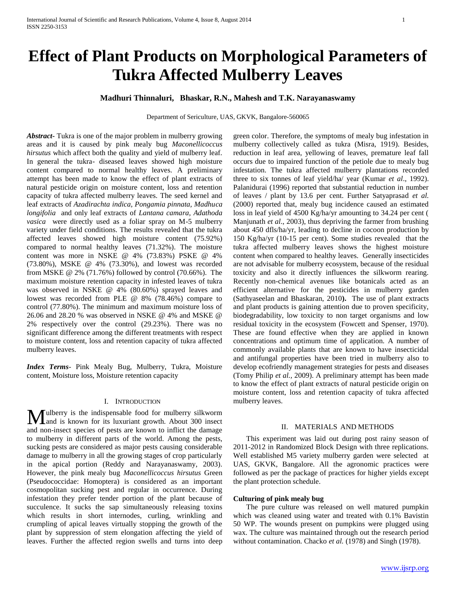# **Effect of Plant Products on Morphological Parameters of Tukra Affected Mulberry Leaves**

# **Madhuri Thinnaluri, Bhaskar, R.N., Mahesh and T.K. Narayanaswamy**

Department of Sericulture, UAS, GKVK, Bangalore-560065

*Abstract***-** Tukra is one of the major problem in mulberry growing areas and it is caused by pink mealy bug *Maconellicoccus hirsutus* which affect both the quality and yield of mulberry leaf. In general the tukra- diseased leaves showed high moisture content compared to normal healthy leaves. A preliminary attempt has been made to know the effect of plant extracts of natural pesticide origin on moisture content, loss and retention capacity of tukra affected mulberry leaves. The seed kernel and leaf extracts of *Azadirachta indica, Pongamia pinnata, Madhuca longifolia* and only leaf extracts of *Lantana camara, Adathoda vasica* were directly used as a foliar spray on M-5 mulberry variety under field conditions. The results revealed that the tukra affected leaves showed high moisture content (75.92%) compared to normal healthy leaves (71.32%). The moisture content was more in NSKE @ 4% (73.83%) PSKE @ 4% (73.80%), MSKE @ 4% (73.30%), and lowest was recorded from MSKE @ 2% (71.76%) followed by control (70.66%). The maximum moisture retention capacity in infested leaves of tukra was observed in NSKE @ 4% (80.60%) sprayed leaves and lowest was recorded from PLE @ 8% (78.46%) compare to control (77.80%). The minimum and maximum moisture loss of 26.06 and 28.20 % was observed in NSKE @ 4% and MSKE @ 2% respectively over the control (29.23%). There was no significant difference among the different treatments with respect to moisture content, loss and retention capacity of tukra affected mulberry leaves.

*Index Terms*- Pink Mealy Bug, Mulberry, Tukra, Moisture content, Moisture loss, Moisture retention capacity

# I. INTRODUCTION

ulberry is the indispensable food for mulberry silkworm **M**ulberry is the indispensable food for mulberry silkworm<br>and is known for its luxuriant growth. About 300 insect and non-insect species of pests are known to inflict the damage to mulberry in different parts of the world. Among the pests, sucking pests are considered as major pests causing considerable damage to mulberry in all the growing stages of crop particularly in the apical portion (Reddy and Narayanaswamy, 2003). However, the pink mealy bug *Maconellicoccus hirsutus* Green (Pseudococcidae: Homoptera) is considered as an important cosmopolitan sucking pest and regular in occurrence. During infestation they prefer tender portion of the plant because of succulence. It sucks the sap simultaneously releasing toxins which results in short internodes, curling, wrinkling and crumpling of apical leaves virtually stopping the growth of the plant by suppression of stem elongation affecting the yield of leaves. Further the affected region swells and turns into deep

green color. Therefore, the symptoms of mealy bug infestation in mulberry collectively called as tukra (Misra, 1919). Besides, reduction in leaf area, yellowing of leaves, premature leaf fall occurs due to impaired function of the petiole due to mealy bug infestation. The tukra affected mulberry plantations recorded three to six tonnes of leaf yield/ha/ year (Kumar *et al*., 1992). Palanidurai (1996) reported that substantial reduction in number of leaves / plant by 13.6 per cent. Further Satyaprasad *et al.*  (2000) reported that, mealy bug incidence caused an estimated loss in leaf yield of 4500 Kg/ha/yr amounting to 34.24 per cent ( Manjunath *et al*., 2003), thus depriving the farmer from brushing about 450 dfls/ha/yr, leading to decline in cocoon production by 150 Kg/ha/yr (10-15 per cent). Some studies revealed that the tukra affected mulberry leaves shows the highest moisture content when compared to healthy leaves. Generally insecticides are not advisable for mulberry ecosystem, because of the residual toxicity and also it directly influences the silkworm rearing. Recently non-chemical avenues like botanicals acted as an efficient alternative for the pesticides in mulberry garden (Sathyaseelan and Bhaskaran, 2010**).** The use of plant extracts and plant products is gaining attention due to proven specificity, biodegradability, low toxicity to non target organisms and low residual toxicity in the ecosystem (Fowcett and Spenser, 1970). These are found effective when they are applied in known concentrations and optimum time of application. A number of commonly available plants that are known to have insecticidal and antifungal properties have been tried in mulberry also to develop ecofriendly management strategies for pests and diseases (Tomy Philip *et al.,* 2009). A preliminary attempt has been made to know the effect of plant extracts of natural pesticide origin on moisture content, loss and retention capacity of tukra affected mulberry leaves.

# II. MATERIALS AND METHODS

 This experiment was laid out during post rainy season of 2011-2012 in Randomized Block Design with three replications. Well established M5 variety mulberry garden were selected at UAS, GKVK, Bangalore. All the agronomic practices were followed as per the package of practices for higher yields except the plant protection schedule.

# **Culturing of pink mealy bug**

 The pure culture was released on well matured pumpkin which was cleaned using water and treated with 0.1% Bavistin 50 WP. The wounds present on pumpkins were plugged using wax. The culture was maintained through out the research period without contamination. Chacko *et al.* (1978) and Singh (1978).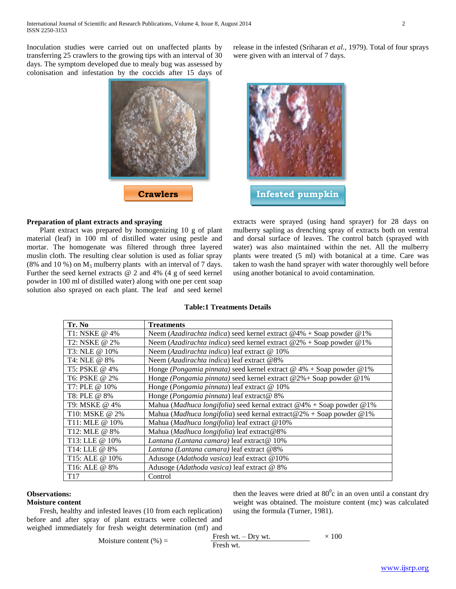Inoculation studies were carried out on unaffected plants by transferring 25 crawlers to the growing tips with an interval of 30 days. The symptom developed due to mealy bug was assessed by colonisation and infestation by the coccids after 15 days of



# **Preparation of plant extracts and spraying**

 Plant extract was prepared by homogenizing 10 g of plant material (leaf) in 100 ml of distilled water using pestle and mortar. The homogenate was filtered through three layered muslin cloth. The resulting clear solution is used as foliar spray (8% and 10 %) on  $M_5$  mulberry plants with an interval of 7 days. Further the seed kernel extracts @ 2 and 4% (4 g of seed kernel powder in 100 ml of distilled water) along with one per cent soap solution also sprayed on each plant. The leaf and seed kernel release in the infested (Sriharan *et al.,* 1979). Total of four sprays were given with an interval of 7 days.



extracts were sprayed (using hand sprayer) for 28 days on mulberry sapling as drenching spray of extracts both on ventral and dorsal surface of leaves. The control batch (sprayed with water) was also maintained within the net. All the mulberry plants were treated (5 ml) with botanical at a time. Care was taken to wash the hand sprayer with water thoroughly well before using another botanical to avoid contamination.

# **Table:1 Treatments Details**

| Tr. No                     | <b>Treatments</b>                                                                 |
|----------------------------|-----------------------------------------------------------------------------------|
| T1: NSKE @ 4%              | Neem (Azadirachta indica) seed kernel extract $@4\% + Soap$ powder $@1\%$         |
| T <sub>2</sub> : NSKE @ 2% | Neem (Azadirachta indica) seed kernel extract $@2\% + Soap$ powder $@1\%$         |
| T3: NLE @ 10%              | Neem (Azadirachta indica) leaf extract @ 10%                                      |
| T4: NLE @ 8%               | Neem (Azadirachta indica) leaf extract @8%                                        |
| T5: PSKE @ 4%              | Honge (Pongamia pinnata) seed kernel extract $@$ 4% + Soap powder $@1\%$          |
| T6: PSKE @ 2%              | Honge ( <i>Pongamia pinnata</i> ) seed kernel extract $@2\% + Soap$ powder $@1\%$ |
| T7: PLE @ 10%              | Honge (Pongamia pinnata) leaf extract @ 10%                                       |
| T8: PLE @ 8%               | Honge (Pongamia pinnata) leaf extract@ 8%                                         |
| T9: MSKE @ 4%              | Mahua (Madhuca longifolia) seed kernal extract $@4% + Soap$ powder $@1%$          |
| T10: MSKE @ 2%             | Mahua (Madhuca longifolia) seed kernal extract@2% + Soap powder @1%               |
| T11: MLE @ 10%             | Mahua (Madhuca longifolia) leaf extract @10%                                      |
| T12: MLE @ 8%              | Mahua (Madhuca longifolia) leaf extract@8%                                        |
| T13: LLE @ 10%             | Lantana (Lantana camara) leaf extract@ 10%                                        |
| T14: LLE @ 8%              | Lantana (Lantana camara) leaf extract @8%                                         |
| T15: ALE @ 10%             | Adusoge (Adathoda vasica) leaf extract @10%                                       |
| T <sub>16</sub> : ALE @ 8% | Adusoge (Adathoda vasica) leaf extract @ 8%                                       |
| T <sub>17</sub>            | Control                                                                           |

## **Observations:**

#### **Moisture content**

 Fresh, healthy and infested leaves (10 from each replication) before and after spray of plant extracts were collected and weighed immediately for fresh weight determination (mf) and

then the leaves were dried at  $80^{\circ}$ c in an oven until a constant dry weight was obtained. The moisture content (mc) was calculated using the formula (Turner, 1981).

Moisture content (%) =  $\frac{\text{Fresh wt.}}{\text{F} \cdot \text{F} \cdot \text{F} \cdot \text{F}}$ Fresh wt.  $\times$  100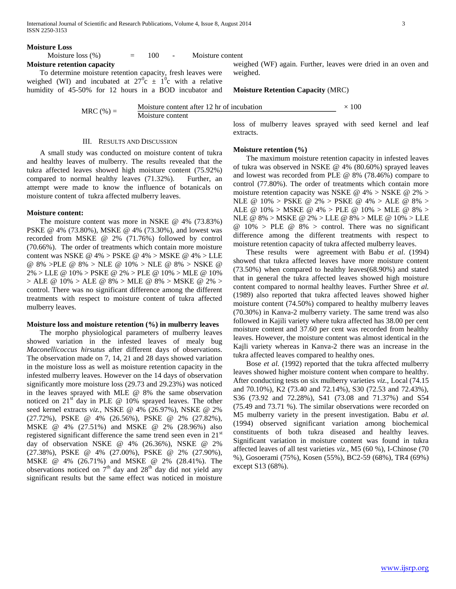#### **Moisture Loss**

Moisture loss  $(\%)$  = 100 - Moisture content **Moisture retention capacity**

 To determine moisture retention capacity, fresh leaves were weighed (WI) and incubated at  $27^{\circ}$ c  $\pm$  1<sup>o</sup>c with a relative humidity of 45-50% for 12 hours in a BOD incubator and

weighed. **Moisture Retention Capacity** (MRC)

MRC (%) =  $\frac{\text{Moisture content after 12 hr of incubation}}{\text{Mech of 12 hr of 12}}$ Moisture content  $\times$  100

## III. RESULTS AND DISCUSSION

 A small study was conducted on moisture content of tukra and healthy leaves of mulberry. The results revealed that the tukra affected leaves showed high moisture content (75.92%) compared to normal healthy leaves (71.32%). Further, an attempt were made to know the influence of botanicals on moisture content of tukra affected mulberry leaves.

## **Moisture content:**

 The moisture content was more in NSKE @ 4% (73.83%) PSKE @ 4% (73.80%), MSKE @ 4% (73.30%), and lowest was recorded from MSKE @ 2% (71.76%) followed by control (70.66%). The order of treatments which contain more moisture content was NSKE @ 4% > PSKE @ 4% > MSKE @ 4% > LLE @ 8% >PLE @ 8% > NLE @ 10% > NLE @ 8% > NSKE @ 2% > LLE @ 10% > PSKE @ 2% > PLE @ 10% > MLE @ 10%  $>$  ALE @ 10%  $>$  ALE @ 8%  $>$  MLE @ 8%  $>$  MSKE @ 2%  $>$ control. There was no significant difference among the different treatments with respect to moisture content of tukra affected mulberry leaves.

# **Moisture loss and moisture retention (%) in mulberry leaves**

 The morpho physiological parameters of mulberry leaves showed variation in the infested leaves of mealy bug *Maconellicoccus hirsutus* after different days of observations. The observation made on 7, 14, 21 and 28 days showed variation in the moisture loss as well as moisture retention capacity in the infested mulberry leaves. However on the 14 days of observation significantly more moisture loss (29.73 and 29.23%) was noticed in the leaves sprayed with MLE @ 8% the same observation noticed on  $21<sup>st</sup>$  day in PLE @ 10% sprayed leaves. The other seed kernel extracts *viz.,* NSKE @ 4% (26.97%), NSKE @ 2% (27.72%), PSKE @ 4% (26.56%), PSKE @ 2% (27.82%), MSKE @ 4% (27.51%) and MSKE @ 2% (28.96%) also registered significant difference the same trend seen even in 21<sup>st</sup> day of observation NSKE @ 4% (26.36%), NSKE @ 2% (27.38%), PSKE @ 4% (27.00%), PSKE @ 2% (27.90%), MSKE @ 4% (26.71%) and MSKE @ 2% (28.41%). The observations noticed on  $7<sup>th</sup>$  day and  $28<sup>th</sup>$  day did not yield any significant results but the same effect was noticed in moisture loss of mulberry leaves sprayed with seed kernel and leaf extracts.

weighed (WF) again. Further, leaves were dried in an oven and

# **Moisture retention (%)**

 The maximum moisture retention capacity in infested leaves of tukra was observed in NSKE @ 4% (80.60%) sprayed leaves and lowest was recorded from PLE @ 8% (78.46%) compare to control (77.80%). The order of treatments which contain more moisture retention capacity was NSKE @ 4% > NSKE @ 2% > NLE @ 10% > PSKE @ 2% > PSKE @ 4% > ALE @ 8% > ALE @ 10% > MSKE @ 4% > PLE @ 10% > MLE @ 8% > NLE @ 8% > MSKE @ 2% > LLE @ 8% > MLE @ 10% > LLE  $@ 10\% > PLE @ 8\% > control$ . There was no significant difference among the different treatments with respect to moisture retention capacity of tukra affected mulberry leaves.

 These results were agreement with Babu *et al*. (1994) showed that tukra affected leaves have more moisture content (73.50%) when compared to healthy leaves(68.90%) and stated that in general the tukra affected leaves showed high moisture content compared to normal healthy leaves. Further Shree *et al.* (1989) also reported that tukra affected leaves showed higher moisture content (74.50%) compared to healthy mulberry leaves (70.30%) in Kanva-2 mulberry variety. The same trend was also followed in Kajili variety where tukra affected has 38.00 per cent moisture content and 37.60 per cent was recorded from healthy leaves. However, the moisture content was almost identical in the Kajli variety whereas in Kanva-2 there was an increase in the tukra affected leaves compared to healthy ones.

 Bose *et al.* (1992) reported that the tukra affected mulberry leaves showed higher moisture content when compare to healthy. After conducting tests on six mulberry varieties *viz.,* Local (74.15 and 70.10%), K2 (73.40 and 72.14%), S30 (72.53 and 72.43%), S36 (73.92 and 72.28%), S41 (73.08 and 71.37%) and S54 (75.49 and 73.71 %). The similar observations were recorded on M5 mulberry variety in the present investigation. Babu *et al.* (1994) observed significant variation among biochemical constituents of both tukra diseased and healthy leaves. Significant variation in moisture content was found in tukra affected leaves of all test varieties *viz.,* M5 (60 %), I-Chinose (70 %), Gosoerami (75%), Kosen (55%), BC2-59 (68%), TR4 (69%) except S13 (68%).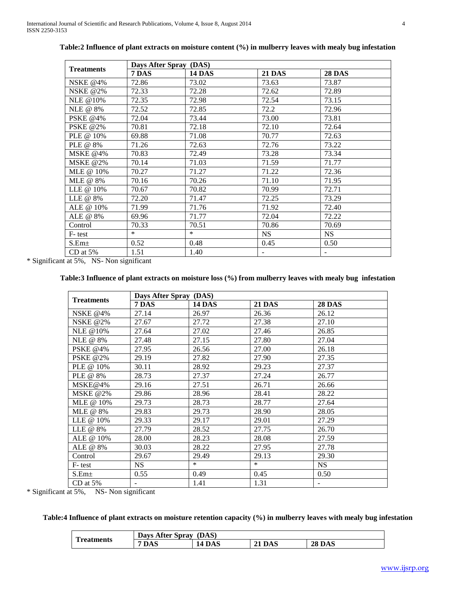| <b>Treatments</b> | Days After Spray (DAS) |               |               |               |
|-------------------|------------------------|---------------|---------------|---------------|
|                   | 7 DAS                  | <b>14 DAS</b> | <b>21 DAS</b> | <b>28 DAS</b> |
| NSKE @4%          | 72.86                  | 73.02         | 73.63         | 73.87         |
| <b>NSKE @2%</b>   | 72.33                  | 72.28         | 72.62         | 72.89         |
| NLE @10%          | 72.35                  | 72.98         | 72.54         | 73.15         |
| NLE @ 8%          | 72.52                  | 72.85         | 72.2          | 72.96         |
| <b>PSKE</b> @4%   | 72.04                  | 73.44         | 73.00         | 73.81         |
| <b>PSKE @2%</b>   | 70.81                  | 72.18         | 72.10         | 72.64         |
| PLE @ 10%         | 69.88                  | 71.08         | 70.77         | 72.63         |
| PLE @ 8%          | 71.26                  | 72.63         | 72.76         | 73.22         |
| MSKE @4%          | 70.83                  | 72.49         | 73.28         | 73.34         |
| MSKE @2%          | 70.14                  | 71.03         | 71.59         | 71.77         |
| MLE @ 10%         | 70.27                  | 71.27         | 71.22         | 72.36         |
| MLE @ 8%          | 70.16                  | 70.26         | 71.10         | 71.95         |
| LLE @ 10%         | 70.67                  | 70.82         | 70.99         | 72.71         |
| LLE @ 8%          | 72.20                  | 71.47         | 72.25         | 73.29         |
| ALE @ 10%         | 71.99                  | 71.76         | 71.92         | 72.40         |
| ALE @ 8%          | 69.96                  | 71.77         | 72.04         | 72.22         |
| Control           | 70.33                  | 70.51         | 70.86         | 70.69         |
| F-test            | $\ast$                 | $\ast$        | <b>NS</b>     | <b>NS</b>     |
| S.Em <sub>±</sub> | 0.52                   | 0.48          | 0.45          | 0.50          |
| $CD$ at 5%        | 1.51                   | 1.40          | ۰             |               |

**Table:2 Influence of plant extracts on moisture content (%) in mulberry leaves with mealy bug infestation**

\* Significant at 5%, NS- Non significant

# **Table:3 Influence of plant extracts on moisture loss (%) from mulberry leaves with mealy bug infestation**

| <b>Treatments</b> | Days After Spray (DAS) |               |               |               |
|-------------------|------------------------|---------------|---------------|---------------|
|                   | 7 DAS                  | <b>14 DAS</b> | <b>21 DAS</b> | <b>28 DAS</b> |
| <b>NSKE</b> @4%   | 27.14                  | 26.97         | 26.36         | 26.12         |
| <b>NSKE @2%</b>   | 27.67                  | 27.72         | 27.38         | 27.10         |
| <b>NLE @10%</b>   | 27.64                  | 27.02         | 27.46         | 26.85         |
| NLE @ 8%          | 27.48                  | 27.15         | 27.80         | 27.04         |
| <b>PSKE</b> @4%   | 27.95                  | 26.56         | 27.00         | 26.18         |
| <b>PSKE @2%</b>   | 29.19                  | 27.82         | 27.90         | 27.35         |
| PLE @ 10%         | 30.11                  | 28.92         | 29.23         | 27.37         |
| PLE @ 8%          | 28.73                  | 27.37         | 27.24         | 26.77         |
| MSKE@4%           | 29.16                  | 27.51         | 26.71         | 26.66         |
| MSKE @2%          | 29.86                  | 28.96         | 28.41         | 28.22         |
| MLE @ 10%         | 29.73                  | 28.73         | 28.77         | 27.64         |
| MLE @ 8%          | 29.83                  | 29.73         | 28.90         | 28.05         |
| LLE @ 10%         | 29.33                  | 29.17         | 29.01         | 27.29         |
| LLE @ 8%          | 27.79                  | 28.52         | 27.75         | 26.70         |
| ALE @ 10%         | 28.00                  | 28.23         | 28.08         | 27.59         |
| ALE @ 8%          | 30.03                  | 28.22         | 27.95         | 27.78         |
| Control           | 29.67                  | 29.49         | 29.13         | 29.30         |
| F-test            | <b>NS</b>              | $\ast$        | $*$           | <b>NS</b>     |
| S.Em <sub>±</sub> | 0.55                   | 0.49          | 0.45          | 0.50          |
| $CD$ at $5%$      |                        | 1.41          | 1.31          |               |

\* Significant at 5%, NS- Non significant

# **Table:4 Influence of plant extracts on moisture retention capacity (%) in mulberry leaves with mealy bug infestation**

| m<br>Treatments | DAS)<br>Days After Spray |                  |                  |               |
|-----------------|--------------------------|------------------|------------------|---------------|
|                 | DAS                      | <b>DAS</b><br>14 | <b>DAS</b><br>◢┸ | <b>28 DAS</b> |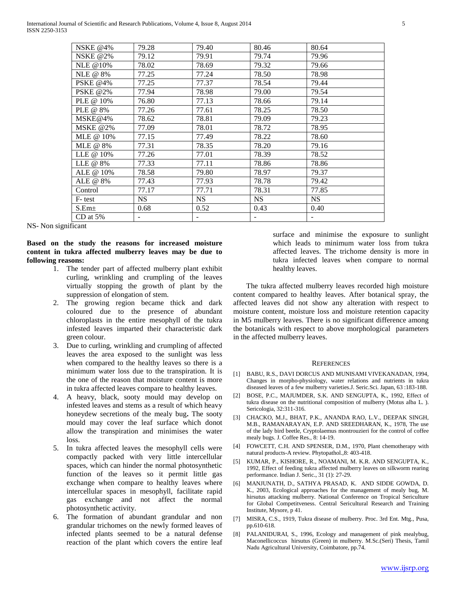| <b>NSKE @4%</b> | 79.28                    | 79.40     | 80.46     | 80.64     |
|-----------------|--------------------------|-----------|-----------|-----------|
| <b>NSKE @2%</b> | 79.12                    | 79.91     | 79.74     | 79.96     |
| NLE @10%        | 78.02                    | 78.69     | 79.32     | 79.66     |
| NLE @ 8%        | 77.25                    | 77.24     | 78.50     | 78.98     |
| <b>PSKE @4%</b> | 77.25                    | 77.37     | 78.54     | 79.44     |
| <b>PSKE @2%</b> | 77.94                    | 78.98     | 79.00     | 79.54     |
| PLE @ 10%       | 76.80                    | 77.13     | 78.66     | 79.14     |
| PLE @ 8%        | 77.26                    | 77.61     | 78.25     | 78.50     |
| MSKE@4%         | 78.62                    | 78.81     | 79.09     | 79.23     |
| <b>MSKE @2%</b> | 77.09                    | 78.01     | 78.72     | 78.95     |
| MLE @ 10%       | 77.15                    | 77.49     | 78.22     | 78.60     |
| MLE @ 8%        | 77.31                    | 78.35     | 78.20     | 79.16     |
| LLE @ 10%       | 77.26                    | 77.01     | 78.39     | 78.52     |
| LLE @ 8%        | 77.33                    | 77.11     | 78.86     | 78.86     |
| ALE @ 10%       | 78.58                    | 79.80     | 78.97     | 79.37     |
| ALE @ 8%        | 77.43                    | 77.93     | 78.78     | 79.42     |
| Control         | 77.17                    | 77.71     | 78.31     | 77.85     |
| F-test          | <b>NS</b>                | <b>NS</b> | <b>NS</b> | <b>NS</b> |
| $S.Em\pm$       | 0.68                     | 0.52      | 0.43      | 0.40      |
| CD at $5%$      | $\overline{\phantom{a}}$ |           |           | -         |

NS- Non significant

**Based on the study the reasons for increased moisture content in tukra affected mulberry leaves may be due to following reasons:**

- 1. The tender part of affected mulberry plant exhibit curling, wrinkling and crumpling of the leaves virtually stopping the growth of plant by the suppression of elongation of stem.
- 2. The growing region became thick and dark coloured due to the presence of abundant chloroplasts in the entire mesophyll of the tukra infested leaves imparted their characteristic dark green colour.
- 3. Due to curling, wrinkling and crumpling of affected leaves the area exposed to the sunlight was less when compared to the healthy leaves so there is a minimum water loss due to the transpiration. It is the one of the reason that moisture content is more in tukra affected leaves compare to healthy leaves.
- 4. A heavy, black, sooty mould may develop on infested leaves and stems as a result of which heavy honeydew secretions of the mealy bug**.** The sooty mould may cover the leaf surface which donot allow the transpiration and minimises the water loss.
- 5. In tukra affected leaves the mesophyll cells were compactly packed with very little intercellular spaces, which can hinder the normal photosynthetic function of the leaves so it permit little gas exchange when compare to healthy leaves where intercellular spaces in mesophyll, facilitate rapid gas exchange and not affect the normal photosynthetic activity.
- 6. The formation of abundant grandular and non grandular trichomes on the newly formed leaves of infected plants seemed to be a natural defense reaction of the plant which covers the entire leaf

surface and minimise the exposure to sunlight which leads to minimum water loss from tukra affected leaves. The trichome density is more in tukra infected leaves when compare to normal healthy leaves.

 The tukra affected mulberry leaves recorded high moisture content compared to healthy leaves. After botanical spray, the affected leaves did not show any alteration with respect to moisture content, moisture loss and moisture retention capacity in M5 mulberry leaves. There is no significant difference among the botanicals with respect to above morphological parameters in the affected mulberry leaves.

#### **REFERENCES**

- [1] BABU, R.S., DAVI DORCUS AND MUNISAMI VIVEKANADAN, 1994, Changes in morpho-physiology, water relations and nutrients in tukra diseased leaves of a few mulberry varieties.J. Seric.Sci. Japan, 63 :183-188.
- [2] BOSE, P.C., MAJUMDER, S.K. AND SENGUPTA, K., 1992, Effect of tukra disease on the nutritional composition of mulberry (Motus alba L. ). Sericologia, 32:311-316.
- [3] CHACKO, M.J., BHAT, P.K., ANANDA RAO, L.V., DEEPAK SINGH, M.B., RAMANARAYAN, E.P. AND SREEDHARAN, K., 1978, The use of the lady bird beetle, Cryptolaemus montrouzieri for the control of coffee mealy bugs. J. Coffee Res., 8: 14-19.
- [4] FOWCETT, C.H. AND SPENSER, D.M., 1970, Plant chemotherapy with natural products-A review. Phytopathol.,8: 403-418.
- [5] KUMAR, P., KISHORE, R., NOAMANI, M. K.R. AND SENGUPTA, K., 1992, Effect of feeding tukra affected mulberry leaves on silkworm rearing performance. Indian J. Seric., 31 (1): 27-29.
- [6] MANJUNATH, D., SATHYA PRASAD, K. AND SIDDE GOWDA, D. K., 2003, Ecological approaches for the management of mealy bug, M. hirsutus attacking mulberry. National Conference on Tropical Sericulture for Global Competitveness. Central Sericultural Research and Training Institute, Mysore, p 41.
- [7] MISRA, C.S., 1919, Tukra disease of mulberry. Proc. 3rd Ent. Mtg., Pusa, pp.610-618.
- [8] PALANIDURAI, S., 1996, Ecology and management of pink mealybug, Maconellicoccus hirsutus (Green) in mulberry. M.Sc.(Seri) Thesis, Tamil Nadu Agricultural University, Coimbatore, pp.74.